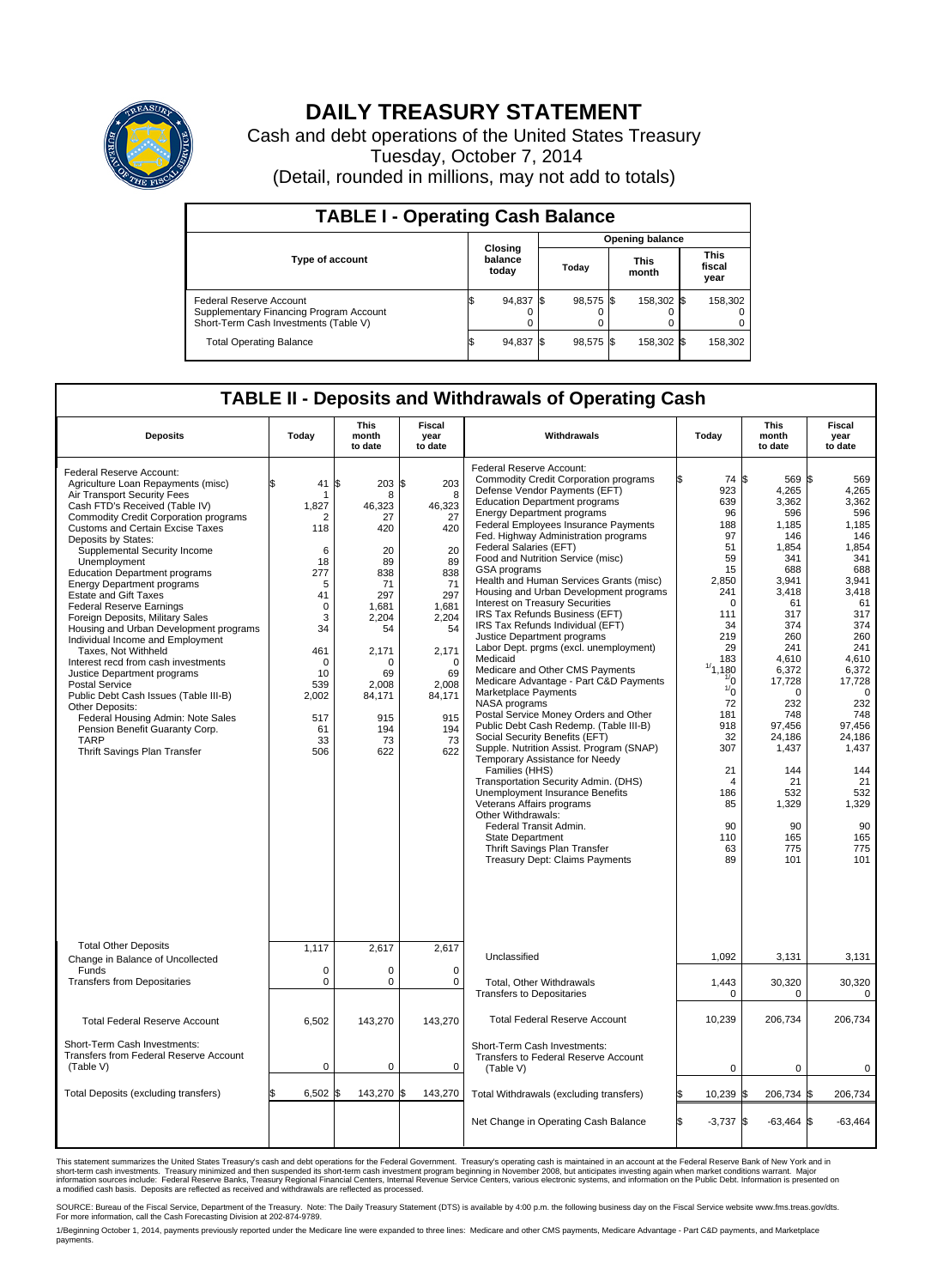

## **DAILY TREASURY STATEMENT**

Cash and debt operations of the United States Treasury Tuesday, October 7, 2014 (Detail, rounded in millions, may not add to totals)

| <b>TABLE I - Operating Cash Balance</b>                                                                     |  |                             |  |                 |  |                      |  |                               |  |  |
|-------------------------------------------------------------------------------------------------------------|--|-----------------------------|--|-----------------|--|----------------------|--|-------------------------------|--|--|
|                                                                                                             |  |                             |  | Opening balance |  |                      |  |                               |  |  |
| <b>Type of account</b>                                                                                      |  | Closing<br>balance<br>today |  | Today           |  | <b>This</b><br>month |  | <b>This</b><br>fiscal<br>year |  |  |
| Federal Reserve Account<br>Supplementary Financing Program Account<br>Short-Term Cash Investments (Table V) |  | 94,837                      |  | 98.575 \$       |  | 158.302 \$           |  | 158,302                       |  |  |
| <b>Total Operating Balance</b>                                                                              |  | 94,837                      |  | 98,575 \$       |  | 158,302 \$           |  | 158,302                       |  |  |

## **TABLE II - Deposits and Withdrawals of Operating Cash**

| <b>Deposits</b>                                                                                                                                                                                                                                                                                                                                                                                                                                                                                                                                                                                                                                                                                                                                                                                                                                                             | Today                                                                                                                                                         | This<br>month<br>to date                                                                                                                                        | <b>Fiscal</b><br>year<br>to date                                                                                                                                       | Withdrawals                                                                                                                                                                                                                                                                                                                                                                                                                                                                                                                                                                                                                                                                                                                                                                                                                                                                                                                                                                                                                                                                                                                                                                                                                                     | Today                                                                                                                                                                                                                                                      | <b>This</b><br>month<br>to date                                                                                                                                                                                                                                | Fiscal<br>year<br>to date                                                                                                                                                                                                                                             |
|-----------------------------------------------------------------------------------------------------------------------------------------------------------------------------------------------------------------------------------------------------------------------------------------------------------------------------------------------------------------------------------------------------------------------------------------------------------------------------------------------------------------------------------------------------------------------------------------------------------------------------------------------------------------------------------------------------------------------------------------------------------------------------------------------------------------------------------------------------------------------------|---------------------------------------------------------------------------------------------------------------------------------------------------------------|-----------------------------------------------------------------------------------------------------------------------------------------------------------------|------------------------------------------------------------------------------------------------------------------------------------------------------------------------|-------------------------------------------------------------------------------------------------------------------------------------------------------------------------------------------------------------------------------------------------------------------------------------------------------------------------------------------------------------------------------------------------------------------------------------------------------------------------------------------------------------------------------------------------------------------------------------------------------------------------------------------------------------------------------------------------------------------------------------------------------------------------------------------------------------------------------------------------------------------------------------------------------------------------------------------------------------------------------------------------------------------------------------------------------------------------------------------------------------------------------------------------------------------------------------------------------------------------------------------------|------------------------------------------------------------------------------------------------------------------------------------------------------------------------------------------------------------------------------------------------------------|----------------------------------------------------------------------------------------------------------------------------------------------------------------------------------------------------------------------------------------------------------------|-----------------------------------------------------------------------------------------------------------------------------------------------------------------------------------------------------------------------------------------------------------------------|
| Federal Reserve Account:<br>Agriculture Loan Repayments (misc)<br>Air Transport Security Fees<br>Cash FTD's Received (Table IV)<br><b>Commodity Credit Corporation programs</b><br><b>Customs and Certain Excise Taxes</b><br>Deposits by States:<br>Supplemental Security Income<br>Unemployment<br><b>Education Department programs</b><br><b>Energy Department programs</b><br><b>Estate and Gift Taxes</b><br><b>Federal Reserve Earnings</b><br>Foreign Deposits, Military Sales<br>Housing and Urban Development programs<br>Individual Income and Employment<br>Taxes. Not Withheld<br>Interest recd from cash investments<br>Justice Department programs<br><b>Postal Service</b><br>Public Debt Cash Issues (Table III-B)<br>Other Deposits:<br>Federal Housing Admin: Note Sales<br>Pension Benefit Guaranty Corp.<br><b>TARP</b><br>Thrift Savings Plan Transfer | \$<br>41<br>-1<br>1,827<br>2<br>118<br>6<br>18<br>277<br>5<br>41<br>$\mathbf 0$<br>3<br>34<br>461<br>$\Omega$<br>10<br>539<br>2,002<br>517<br>61<br>33<br>506 | \$<br>203<br>8<br>46,323<br>27<br>420<br>20<br>89<br>838<br>71<br>297<br>1,681<br>2,204<br>54<br>2,171<br>O<br>69<br>2,008<br>84,171<br>915<br>194<br>73<br>622 | S.<br>203<br>8<br>46,323<br>27<br>420<br>20<br>89<br>838<br>71<br>297<br>1,681<br>2,204<br>54<br>2,171<br>$\Omega$<br>69<br>2,008<br>84,171<br>915<br>194<br>73<br>622 | Federal Reserve Account:<br><b>Commodity Credit Corporation programs</b><br>Defense Vendor Payments (EFT)<br><b>Education Department programs</b><br><b>Energy Department programs</b><br>Federal Employees Insurance Payments<br>Fed. Highway Administration programs<br>Federal Salaries (EFT)<br>Food and Nutrition Service (misc)<br>GSA programs<br>Health and Human Services Grants (misc)<br>Housing and Urban Development programs<br>Interest on Treasury Securities<br>IRS Tax Refunds Business (EFT)<br>IRS Tax Refunds Individual (EFT)<br>Justice Department programs<br>Labor Dept. prgms (excl. unemployment)<br>Medicaid<br>Medicare and Other CMS Payments<br>Medicare Advantage - Part C&D Payments<br>Marketplace Payments<br>NASA programs<br>Postal Service Money Orders and Other<br>Public Debt Cash Redemp. (Table III-B)<br>Social Security Benefits (EFT)<br>Supple. Nutrition Assist. Program (SNAP)<br>Temporary Assistance for Needy<br>Families (HHS)<br>Transportation Security Admin. (DHS)<br>Unemployment Insurance Benefits<br>Veterans Affairs programs<br>Other Withdrawals:<br>Federal Transit Admin.<br><b>State Department</b><br>Thrift Savings Plan Transfer<br><b>Treasury Dept: Claims Payments</b> | 74 \$<br>923<br>639<br>96<br>188<br>97<br>51<br>59<br>15<br>2.850<br>241<br>0<br>111<br>34<br>219<br>29<br>183<br>1/1,180<br>$\frac{1}{0}$<br>$\frac{1}{0}$<br>72<br>181<br>918<br>32<br>307<br>21<br>$\overline{4}$<br>186<br>85<br>90<br>110<br>63<br>89 | 569 \$<br>4,265<br>3,362<br>596<br>1,185<br>146<br>1,854<br>341<br>688<br>3,941<br>3,418<br>61<br>317<br>374<br>260<br>241<br>4.610<br>6,372<br>17,728<br>0<br>232<br>748<br>97,456<br>24,186<br>1,437<br>144<br>21<br>532<br>1,329<br>90<br>165<br>775<br>101 | 569<br>4,265<br>3.362<br>596<br>1,185<br>146<br>1,854<br>341<br>688<br>3.941<br>3,418<br>61<br>317<br>374<br>260<br>241<br>4.610<br>6,372<br>17,728<br>$\mathbf 0$<br>232<br>748<br>97,456<br>24,186<br>1,437<br>144<br>21<br>532<br>1,329<br>90<br>165<br>775<br>101 |
| <b>Total Other Deposits</b><br>Change in Balance of Uncollected                                                                                                                                                                                                                                                                                                                                                                                                                                                                                                                                                                                                                                                                                                                                                                                                             | 1,117                                                                                                                                                         | 2,617                                                                                                                                                           | 2,617                                                                                                                                                                  | Unclassified                                                                                                                                                                                                                                                                                                                                                                                                                                                                                                                                                                                                                                                                                                                                                                                                                                                                                                                                                                                                                                                                                                                                                                                                                                    | 1,092                                                                                                                                                                                                                                                      | 3,131                                                                                                                                                                                                                                                          | 3,131                                                                                                                                                                                                                                                                 |
| Funds<br><b>Transfers from Depositaries</b>                                                                                                                                                                                                                                                                                                                                                                                                                                                                                                                                                                                                                                                                                                                                                                                                                                 | $\mathbf 0$<br>$\pmb{0}$                                                                                                                                      | $\Omega$<br>0                                                                                                                                                   | $\Omega$<br>$\mathbf 0$                                                                                                                                                | Total, Other Withdrawals                                                                                                                                                                                                                                                                                                                                                                                                                                                                                                                                                                                                                                                                                                                                                                                                                                                                                                                                                                                                                                                                                                                                                                                                                        | 1,443                                                                                                                                                                                                                                                      | 30,320                                                                                                                                                                                                                                                         | 30,320                                                                                                                                                                                                                                                                |
|                                                                                                                                                                                                                                                                                                                                                                                                                                                                                                                                                                                                                                                                                                                                                                                                                                                                             |                                                                                                                                                               |                                                                                                                                                                 |                                                                                                                                                                        | <b>Transfers to Depositaries</b>                                                                                                                                                                                                                                                                                                                                                                                                                                                                                                                                                                                                                                                                                                                                                                                                                                                                                                                                                                                                                                                                                                                                                                                                                | $\mathbf 0$                                                                                                                                                                                                                                                | 0                                                                                                                                                                                                                                                              | $\mathbf 0$                                                                                                                                                                                                                                                           |
| <b>Total Federal Reserve Account</b><br>Short-Term Cash Investments:                                                                                                                                                                                                                                                                                                                                                                                                                                                                                                                                                                                                                                                                                                                                                                                                        | 6,502                                                                                                                                                         | 143,270                                                                                                                                                         | 143,270                                                                                                                                                                | <b>Total Federal Reserve Account</b>                                                                                                                                                                                                                                                                                                                                                                                                                                                                                                                                                                                                                                                                                                                                                                                                                                                                                                                                                                                                                                                                                                                                                                                                            | 10,239                                                                                                                                                                                                                                                     | 206,734                                                                                                                                                                                                                                                        | 206,734                                                                                                                                                                                                                                                               |
| Transfers from Federal Reserve Account<br>(Table V)                                                                                                                                                                                                                                                                                                                                                                                                                                                                                                                                                                                                                                                                                                                                                                                                                         | $\mathbf 0$                                                                                                                                                   | $\mathbf 0$                                                                                                                                                     | $\mathbf 0$                                                                                                                                                            | Short-Term Cash Investments:<br>Transfers to Federal Reserve Account<br>(Table V)                                                                                                                                                                                                                                                                                                                                                                                                                                                                                                                                                                                                                                                                                                                                                                                                                                                                                                                                                                                                                                                                                                                                                               | $\mathbf 0$                                                                                                                                                                                                                                                | $\mathbf 0$                                                                                                                                                                                                                                                    | 0                                                                                                                                                                                                                                                                     |
| Total Deposits (excluding transfers)                                                                                                                                                                                                                                                                                                                                                                                                                                                                                                                                                                                                                                                                                                                                                                                                                                        | 6.502                                                                                                                                                         | 143,270 \$<br>l\$                                                                                                                                               | 143,270                                                                                                                                                                | Total Withdrawals (excluding transfers)                                                                                                                                                                                                                                                                                                                                                                                                                                                                                                                                                                                                                                                                                                                                                                                                                                                                                                                                                                                                                                                                                                                                                                                                         | 10,239 \$                                                                                                                                                                                                                                                  | 206,734 \$                                                                                                                                                                                                                                                     | 206,734                                                                                                                                                                                                                                                               |
|                                                                                                                                                                                                                                                                                                                                                                                                                                                                                                                                                                                                                                                                                                                                                                                                                                                                             |                                                                                                                                                               |                                                                                                                                                                 |                                                                                                                                                                        | Net Change in Operating Cash Balance                                                                                                                                                                                                                                                                                                                                                                                                                                                                                                                                                                                                                                                                                                                                                                                                                                                                                                                                                                                                                                                                                                                                                                                                            | \$.<br>$-3,737$ \$                                                                                                                                                                                                                                         | $-63,464$ \$                                                                                                                                                                                                                                                   | $-63,464$                                                                                                                                                                                                                                                             |

This statement summarizes the United States Treasury's cash and debt operations for the Federal Government. Treasury's operating cash is maintained in an account at the Federal Reserve Bank of New York and in<br>short-term ca

SOURCE: Bureau of the Fiscal Service, Department of the Treasury. Note: The Daily Treasury Statement (DTS) is available by 4:00 p.m. the following business day on the Fiscal Service website www.fms.treas.gov/dts.<br>For more

1/Beginning October 1, 2014, payments previously reported under the Medicare line were expanded to three lines: Medicare and other CMS payments, Medicare Advantage - Part C&D payments, and Marketplace<br>payments.